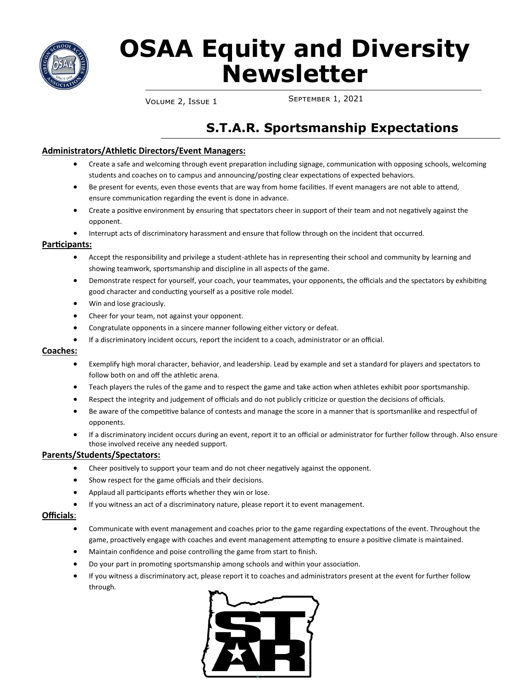

# **OSAA Equity and Diversity Newsletter**

September 1, 2021 Volume 2, Issue 1

# **S.T.A.R. Sportsmanship Expectations**

#### **Administrators/Athletic Directors/Event Managers:**

- Create a safe and welcoming through event preparation including signage, communication with opposing schools, welcoming students and coaches on to campus and announcing/posting clear expectations of expected behaviors.
- Be present for events, even those events that are way from home facilities. If event managers are not able to attend, ensure communication regarding the event is done in advance.
- Create a positive environment by ensuring that spectators cheer in support of their team and not negatively against the opponent.
- Interrupt acts of discriminatory harassment and ensure that follow through on the incident that occurred.

#### **Participants:**

- Accept the responsibility and privilege a student-athlete has in representing their school and community by learning and showing teamwork, sportsmanship and discipline in all aspects of the game.
- Demonstrate respect for yourself, your coach, your teammates, your opponents, the officials and the spectators by exhibiting good character and conducting yourself as a positive role model.
- Win and lose graciously.
- Cheer for your team, not against your opponent.
- Congratulate opponents in a sincere manner following either victory or defeat.
- If a discriminatory incident occurs, report the incident to a coach, administrator or an official.

#### **Coaches:**

- Exemplify high moral character, behavior, and leadership. Lead by example and set a standard for players and spectators to follow both on and off the athletic arena.
- Teach players the rules of the game and to respect the game and take action when athletes exhibit poor sportsmanship.
- Respect the integrity and judgement of officials and do not publicly criticize or question the decisions of officials.
- Be aware of the competitive balance of contests and manage the score in a manner that is sportsmanlike and respectful of opponents.
- If a discriminatory incident occurs during an event, report it to an official or administrator for further follow through. Also ensure those involved receive any needed support.

#### **Parents/Students/Spectators:**

- Cheer positively to support your team and do not cheer negatively against the opponent.
- Show respect for the game officials and their decisions.
- Applaud all participants efforts whether they win or lose.
- If you witness an act of a discriminatory nature, please report it to event management.

#### **Officials**:

- Communicate with event management and coaches prior to the game regarding expectations of the event. Throughout the game, proactively engage with coaches and event management attempting to ensure a positive climate is maintained.
- Maintain confidence and poise controlling the game from start to finish.
- Do your part in promoting sportsmanship among schools and within your association.
- If you witness a discriminatory act, please report it to coaches and administrators present at the event for further follow through.

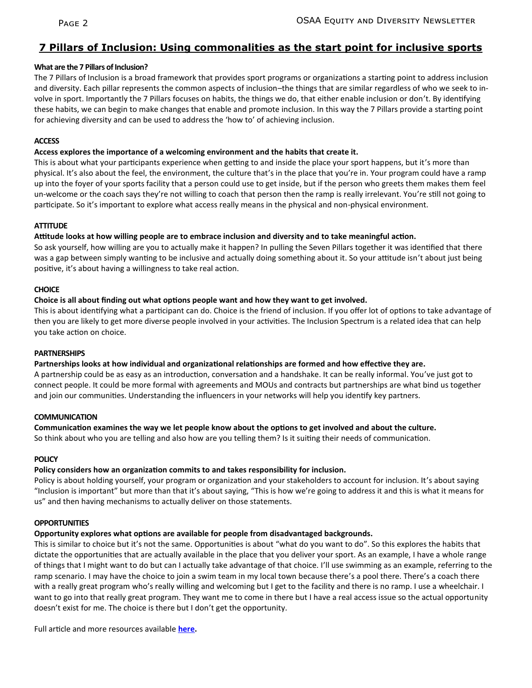## **7 Pillars of Inclusion: Using commonalities as the start point for inclusive sports**

#### **What are the 7 Pillars of Inclusion?**

The 7 Pillars of Inclusion is a broad framework that provides sport programs or organizations a starting point to address inclusion and diversity. Each pillar represents the common aspects of inclusion–the things that are similar regardless of who we seek to involve in sport. Importantly the 7 Pillars focuses on habits, the things we do, that either enable inclusion or don't. By identifying these habits, we can begin to make changes that enable and promote inclusion. In this way the 7 Pillars provide a starting point for achieving diversity and can be used to address the 'how to' of achieving inclusion.

#### **ACCESS**

#### **Access explores the importance of a welcoming environment and the habits that create it.**

This is about what your participants experience when getting to and inside the place your sport happens, but it's more than physical. It's also about the feel, the environment, the culture that's in the place that you're in. Your program could have a ramp up into the foyer of your sports facility that a person could use to get inside, but if the person who greets them makes them feel un-welcome or the coach says they're not willing to coach that person then the ramp is really irrelevant. You're still not going to participate. So it's important to explore what access really means in the physical and non-physical environment.

#### **ATTITUDE**

#### **Attitude looks at how willing people are to embrace inclusion and diversity and to take meaningful action.**

So ask yourself, how willing are you to actually make it happen? In pulling the Seven Pillars together it was identified that there was a gap between simply wanting to be inclusive and actually doing something about it. So your attitude isn't about just being positive, it's about having a willingness to take real action.

#### **CHOICE**

#### **Choice is all about finding out what options people want and how they want to get involved.**

This is about identifying what a participant can do. Choice is the friend of inclusion. If you offer lot of options to take advantage of then you are likely to get more diverse people involved in your activities. The Inclusion Spectrum is a related idea that can help you take action on choice.

#### **PARTNERSHIPS**

#### **Partnerships looks at how individual and organizational relationships are formed and how effective they are.**

A partnership could be as easy as an introduction, conversation and a handshake. It can be really informal. You've just got to connect people. It could be more formal with agreements and MOUs and contracts but partnerships are what bind us together and join our communities. Understanding the influencers in your networks will help you identify key partners.

#### **COMMUNICATION**

#### **Communication examines the way we let people know about the options to get involved and about the culture.**

So think about who you are telling and also how are you telling them? Is it suiting their needs of communication.

#### **POLICY**

### **Policy considers how an organization commits to and takes responsibility for inclusion.**

Policy is about holding yourself, your program or organization and your stakeholders to account for inclusion. It's about saying "Inclusion is important" but more than that it's about saying, "This is how we're going to address it and this is what it means for us" and then having mechanisms to actually deliver on those statements.

### **OPPORTUNITIES**

### **Opportunity explores what options are available for people from disadvantaged backgrounds.**

This is similar to choice but it's not the same. Opportunities is about "what do you want to do". So this explores the habits that dictate the opportunities that are actually available in the place that you deliver your sport. As an example, I have a whole range of things that I might want to do but can I actually take advantage of that choice. I'll use swimming as an example, referring to the ramp scenario. I may have the choice to join a swim team in my local town because there's a pool there. There's a coach there with a really great program who's really willing and welcoming but I get to the facility and there is no ramp. I use a wheelchair. I want to go into that really great program. They want me to come in there but I have a real access issue so the actual opportunity doesn't exist for me. The choice is there but I don't get the opportunity.

Full article and more resources available **[here.](https://inclusivesportdesign.com/planning-for-inclusion/7-pillars-of-inclusion-using-commonalities-as-the-start-point-for-inclusive-sport/)**